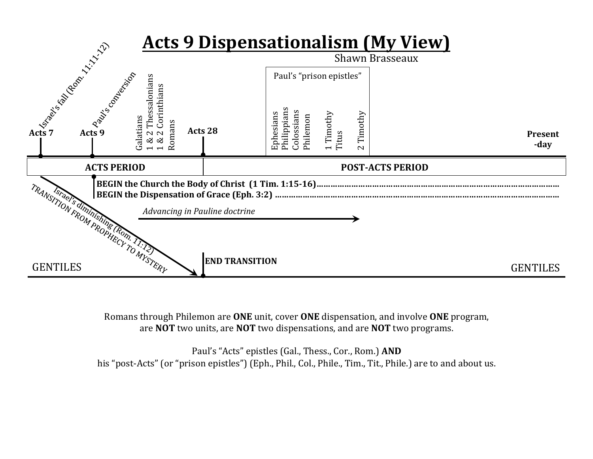

Romans through Philemon are **ONE** unit, cover **ONE** dispensation, and involve **ONE** program, are **NOT** two units, are **NOT** two dispensations, and are **NOT** two programs.

Paul's "Acts" epistles (Gal., Thess., Cor., Rom.) AND his "post-Acts" (or "prison epistles") (Eph., Phil., Col., Phile., Tim., Tit., Phile.) are to and about us.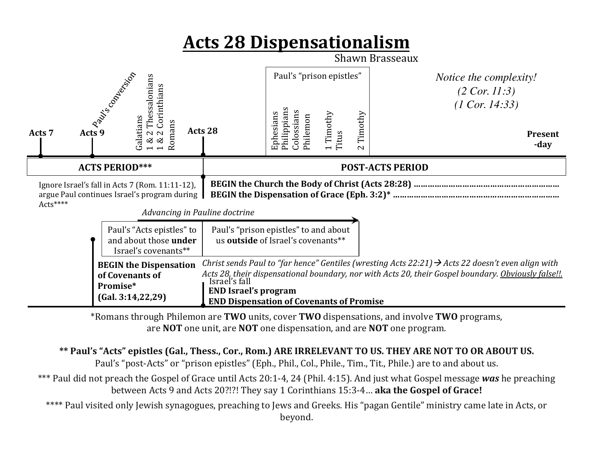## **Acts%28%Dispensationalism%**



\*Romans'through'Philemon'are'**TWO%**units,'cover'**TWO%**dispensations,'and'involve'**TWO%**programs,' are **NOT** one unit, are **NOT** one dispensation, and are **NOT** one program.

## \*\* Paul's "Acts" epistles (Gal., Thess., Cor., Rom.) ARE IRRELEVANT TO US. THEY ARE NOT TO OR ABOUT US.

Paul's "post-Acts" or "prison epistles" (Eph., Phil., Col., Phile., Tim., Tit., Phile.) are to and about us.

\*\*\* Paul did not preach the Gospel of Grace until Acts 20:1-4, 24 (Phil. 4:15). And just what Gospel message was he preaching between Acts 9 and Acts 20?!?! They say 1 Corinthians 15:3-4... **aka the Gospel of Grace!** 

\*\*\*\* Paul visited only Jewish synagogues, preaching to Jews and Greeks. His "pagan Gentile" ministry came late in Acts, or beyond.